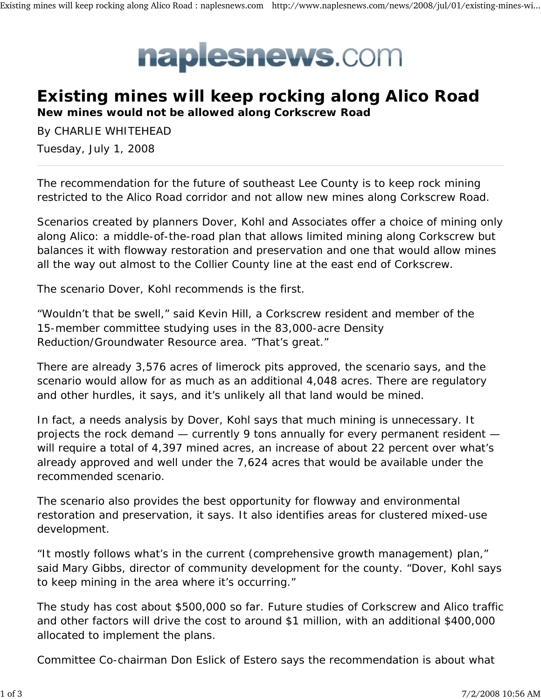## naplesnews.com

## **Existing mines will keep rocking along Alico Road**

**New mines would not be allowed along Corkscrew Road**

By CHARLIE WHITEHEAD Tuesday, July 1, 2008

The recommendation for the future of southeast Lee County is to keep rock mining restricted to the Alico Road corridor and not allow new mines along Corkscrew Road.

Scenarios created by planners Dover, Kohl and Associates offer a choice of mining only along Alico: a middle-of-the-road plan that allows limited mining along Corkscrew but balances it with flowway restoration and preservation and one that would allow mines all the way out almost to the Collier County line at the east end of Corkscrew.

The scenario Dover, Kohl recommends is the first.

"Wouldn't that be swell," said Kevin Hill, a Corkscrew resident and member of the 15-member committee studying uses in the 83,000-acre Density Reduction/Groundwater Resource area. "That's great."

There are already 3,576 acres of limerock pits approved, the scenario says, and the scenario would allow for as much as an additional 4,048 acres. There are regulatory and other hurdles, it says, and it's unlikely all that land would be mined.

In fact, a needs analysis by Dover, Kohl says that much mining is unnecessary. It projects the rock demand — currently 9 tons annually for every permanent resident will require a total of 4,397 mined acres, an increase of about 22 percent over what's already approved and well under the 7,624 acres that would be available under the recommended scenario.

The scenario also provides the best opportunity for flowway and environmental restoration and preservation, it says. It also identifies areas for clustered mixed-use development.

"It mostly follows what's in the current (comprehensive growth management) plan," said Mary Gibbs, director of community development for the county. "Dover, Kohl says to keep mining in the area where it's occurring."

The study has cost about \$500,000 so far. Future studies of Corkscrew and Alico traffic and other factors will drive the cost to around \$1 million, with an additional \$400,000 allocated to implement the plans.

Committee Co-chairman Don Eslick of Estero says the recommendation is about what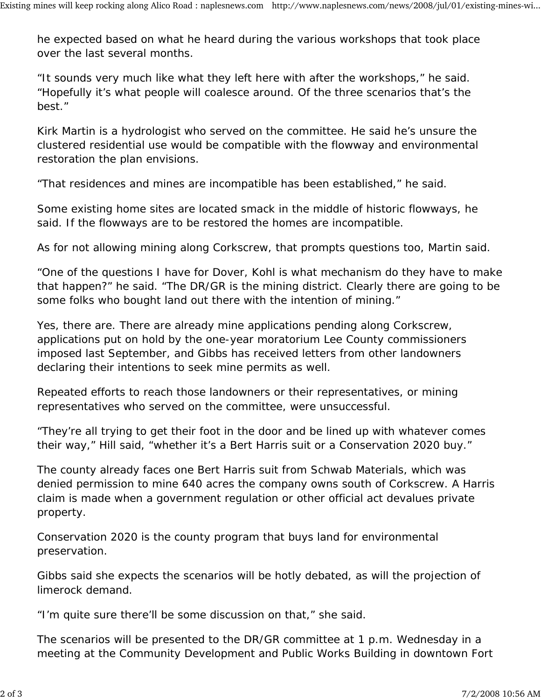he expected based on what he heard during the various workshops that took place over the last several months.

"It sounds very much like what they left here with after the workshops," he said. "Hopefully it's what people will coalesce around. Of the three scenarios that's the best."

Kirk Martin is a hydrologist who served on the committee. He said he's unsure the clustered residential use would be compatible with the flowway and environmental restoration the plan envisions.

"That residences and mines are incompatible has been established," he said.

Some existing home sites are located smack in the middle of historic flowways, he said. If the flowways are to be restored the homes are incompatible.

As for not allowing mining along Corkscrew, that prompts questions too, Martin said.

"One of the questions I have for Dover, Kohl is what mechanism do they have to make that happen?" he said. "The DR/GR is the mining district. Clearly there are going to be some folks who bought land out there with the intention of mining."

Yes, there are. There are already mine applications pending along Corkscrew, applications put on hold by the one-year moratorium Lee County commissioners imposed last September, and Gibbs has received letters from other landowners declaring their intentions to seek mine permits as well.

Repeated efforts to reach those landowners or their representatives, or mining representatives who served on the committee, were unsuccessful.

"They're all trying to get their foot in the door and be lined up with whatever comes their way," Hill said, "whether it's a Bert Harris suit or a Conservation 2020 buy."

The county already faces one Bert Harris suit from Schwab Materials, which was denied permission to mine 640 acres the company owns south of Corkscrew. A Harris claim is made when a government regulation or other official act devalues private property.

Conservation 2020 is the county program that buys land for environmental preservation.

Gibbs said she expects the scenarios will be hotly debated, as will the projection of limerock demand.

"I'm quite sure there'll be some discussion on that," she said.

The scenarios will be presented to the DR/GR committee at 1 p.m. Wednesday in a meeting at the Community Development and Public Works Building in downtown Fort